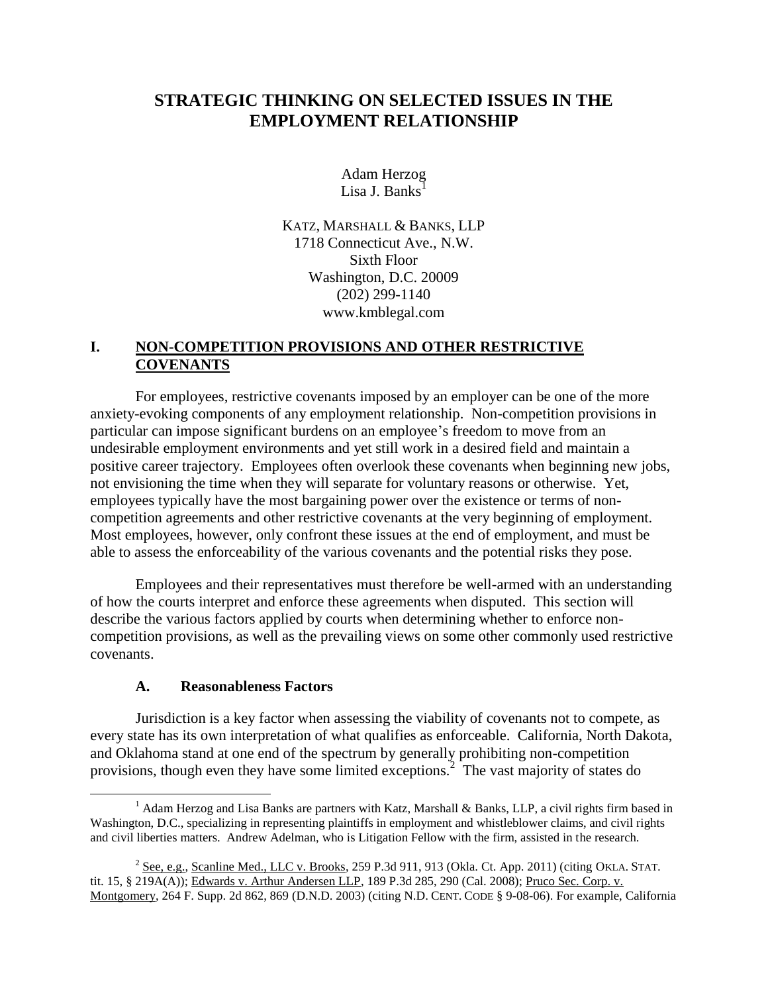# **STRATEGIC THINKING ON SELECTED ISSUES IN THE EMPLOYMENT RELATIONSHIP**

Adam Herzog Lisa J. Banks<sup>1</sup>

KATZ, MARSHALL & BANKS, LLP 1718 Connecticut Ave., N.W. Sixth Floor Washington, D.C. 20009 (202) 299-1140 www.kmblegal.com

# **I. NON-COMPETITION PROVISIONS AND OTHER RESTRICTIVE COVENANTS**

For employees, restrictive covenants imposed by an employer can be one of the more anxiety-evoking components of any employment relationship. Non-competition provisions in particular can impose significant burdens on an employee's freedom to move from an undesirable employment environments and yet still work in a desired field and maintain a positive career trajectory. Employees often overlook these covenants when beginning new jobs, not envisioning the time when they will separate for voluntary reasons or otherwise. Yet, employees typically have the most bargaining power over the existence or terms of noncompetition agreements and other restrictive covenants at the very beginning of employment. Most employees, however, only confront these issues at the end of employment, and must be able to assess the enforceability of the various covenants and the potential risks they pose.

Employees and their representatives must therefore be well-armed with an understanding of how the courts interpret and enforce these agreements when disputed. This section will describe the various factors applied by courts when determining whether to enforce noncompetition provisions, as well as the prevailing views on some other commonly used restrictive covenants.

#### **A. Reasonableness Factors**

 $\overline{a}$ 

Jurisdiction is a key factor when assessing the viability of covenants not to compete, as every state has its own interpretation of what qualifies as enforceable. California, North Dakota, and Oklahoma stand at one end of the spectrum by generally prohibiting non-competition provisions, though even they have some limited exceptions.<sup>2</sup> The vast majority of states do

<sup>&</sup>lt;sup>1</sup> Adam Herzog and Lisa Banks are partners with Katz, Marshall & Banks, LLP, a civil rights firm based in Washington, D.C., specializing in representing plaintiffs in employment and whistleblower claims, and civil rights and civil liberties matters. Andrew Adelman, who is Litigation Fellow with the firm, assisted in the research.

 $^2$  See, e.g., Scanline Med., LLC v. Brooks, 259 P.3d 911, 913 (Okla. Ct. App. 2011) (citing OKLA. STAT. tit. 15, § 219A(A)); Edwards v. Arthur Andersen LLP, 189 P.3d 285, 290 (Cal. 2008); Pruco Sec. Corp. v. Montgomery, 264 F. Supp. 2d 862, 869 (D.N.D. 2003) (citing N.D. CENT. CODE § 9-08-06). For example, California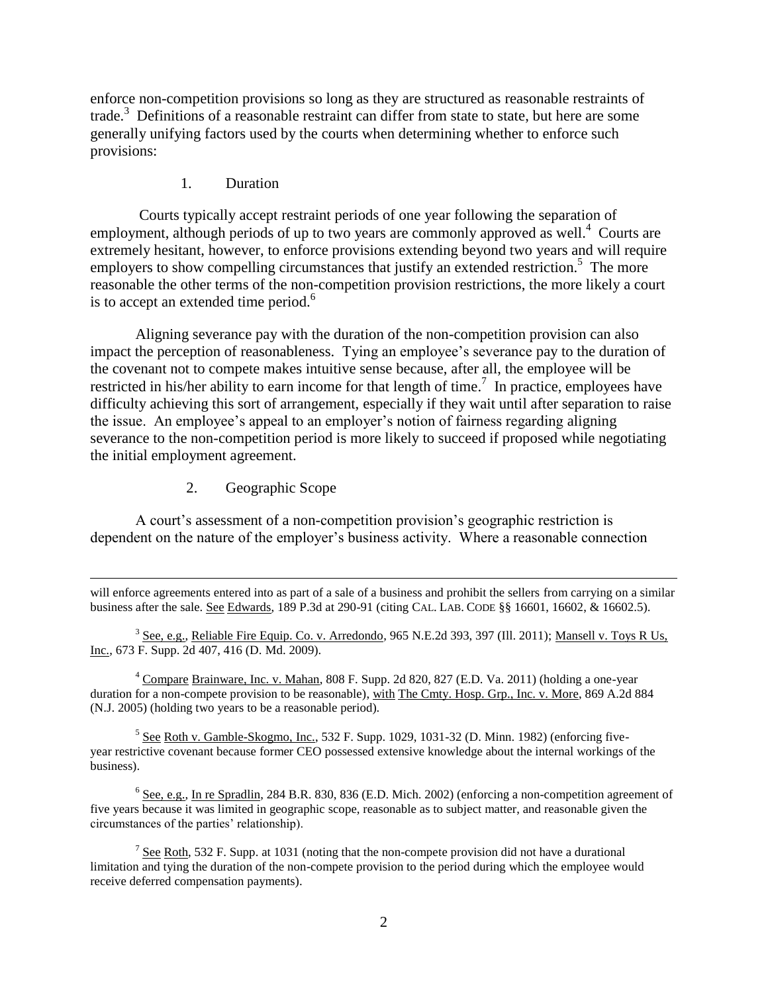enforce non-competition provisions so long as they are structured as reasonable restraints of trade.<sup>3</sup> Definitions of a reasonable restraint can differ from state to state, but here are some generally unifying factors used by the courts when determining whether to enforce such provisions:

### 1. Duration

Courts typically accept restraint periods of one year following the separation of employment, although periods of up to two years are commonly approved as well.<sup>4</sup> Courts are extremely hesitant, however, to enforce provisions extending beyond two years and will require employers to show compelling circumstances that justify an extended restriction.<sup>5</sup> The more reasonable the other terms of the non-competition provision restrictions, the more likely a court is to accept an extended time period. $6$ 

Aligning severance pay with the duration of the non-competition provision can also impact the perception of reasonableness. Tying an employee's severance pay to the duration of the covenant not to compete makes intuitive sense because, after all, the employee will be restricted in his/her ability to earn income for that length of time.<sup>7</sup> In practice, employees have difficulty achieving this sort of arrangement, especially if they wait until after separation to raise the issue. An employee's appeal to an employer's notion of fairness regarding aligning severance to the non-competition period is more likely to succeed if proposed while negotiating the initial employment agreement.

2. Geographic Scope

 $\overline{a}$ 

A court's assessment of a non-competition provision's geographic restriction is dependent on the nature of the employer's business activity. Where a reasonable connection

<sup>4</sup> Compare Brainware, Inc. v. Mahan, 808 F. Supp. 2d 820, 827 (E.D. Va. 2011) (holding a one-year duration for a non-compete provision to be reasonable), with The Cmty. Hosp. Grp., Inc. v. More, 869 A.2d 884 (N.J. 2005) (holding two years to be a reasonable period).

 $<sup>5</sup>$  See Roth v. Gamble-Skogmo, Inc., 532 F. Supp. 1029, 1031-32 (D. Minn. 1982) (enforcing five-</sup> year restrictive covenant because former CEO possessed extensive knowledge about the internal workings of the business).

 $6$  See, e.g., In re Spradlin, 284 B.R. 830, 836 (E.D. Mich. 2002) (enforcing a non-competition agreement of five years because it was limited in geographic scope, reasonable as to subject matter, and reasonable given the circumstances of the parties' relationship).

 $7 \text{ See }$  Roth, 532 F. Supp. at 1031 (noting that the non-compete provision did not have a durational limitation and tying the duration of the non-compete provision to the period during which the employee would receive deferred compensation payments).

will enforce agreements entered into as part of a sale of a business and prohibit the sellers from carrying on a similar business after the sale. See Edwards, 189 P.3d at 290-91 (citing CAL. LAB. CODE §§ 16601, 16602, & 16602.5).

 $3$  See, e.g., Reliable Fire Equip. Co. v. Arredondo, 965 N.E.2d 393, 397 (Ill. 2011); Mansell v. Toys R Us, Inc., 673 F. Supp. 2d 407, 416 (D. Md. 2009).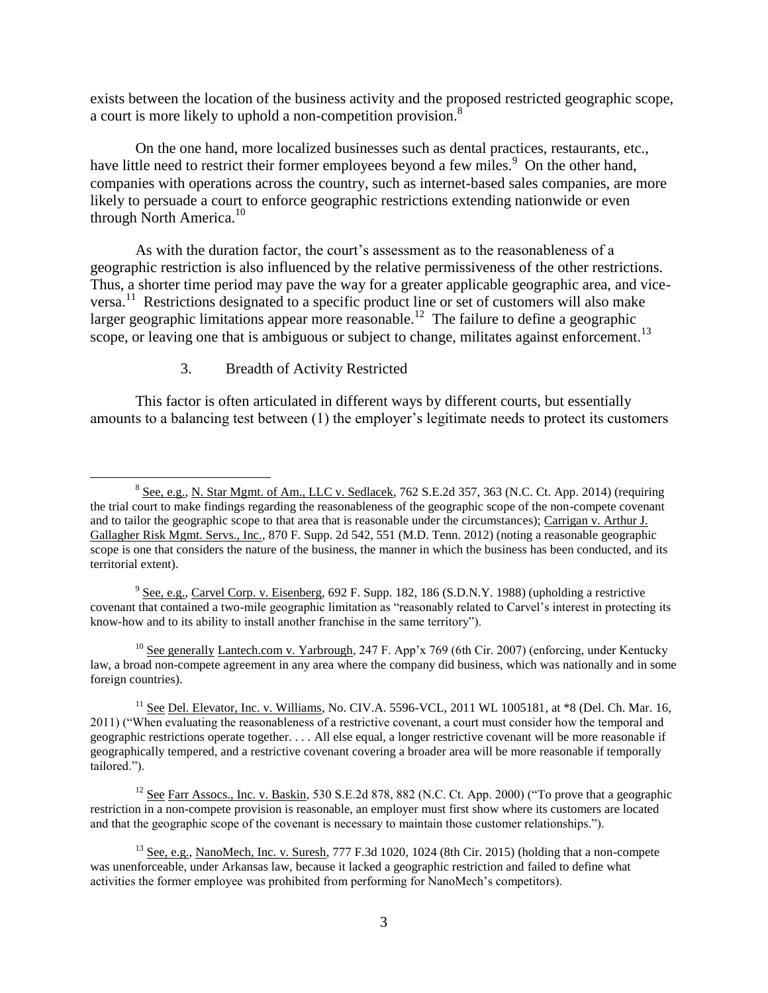exists between the location of the business activity and the proposed restricted geographic scope, a court is more likely to uphold a non-competition provision.<sup>8</sup>

On the one hand, more localized businesses such as dental practices, restaurants, etc., have little need to restrict their former employees beyond a few miles.<sup>9</sup> On the other hand, companies with operations across the country, such as internet-based sales companies, are more likely to persuade a court to enforce geographic restrictions extending nationwide or even through North America.<sup>10</sup>

As with the duration factor, the court's assessment as to the reasonableness of a geographic restriction is also influenced by the relative permissiveness of the other restrictions. Thus, a shorter time period may pave the way for a greater applicable geographic area, and viceversa.<sup>11</sup> Restrictions designated to a specific product line or set of customers will also make larger geographic limitations appear more reasonable.<sup>12</sup> The failure to define a geographic scope, or leaving one that is ambiguous or subject to change, militates against enforcement.<sup>13</sup>

### 3. Breadth of Activity Restricted

 $\overline{a}$ 

This factor is often articulated in different ways by different courts, but essentially amounts to a balancing test between (1) the employer's legitimate needs to protect its customers

 $9 \text{ See, e.g.,}$  Carvel Corp. v. Eisenberg, 692 F. Supp. 182, 186 (S.D.N.Y. 1988) (upholding a restrictive covenant that contained a two-mile geographic limitation as "reasonably related to Carvel's interest in protecting its know-how and to its ability to install another franchise in the same territory").

<sup>10</sup> See generally Lantech.com v. Yarbrough, 247 F. App'x 769 (6th Cir. 2007) (enforcing, under Kentucky law, a broad non-compete agreement in any area where the company did business, which was nationally and in some foreign countries).

<sup>&</sup>lt;sup>8</sup> See, e.g., N. Star Mgmt. of Am., LLC v. Sedlacek, 762 S.E.2d 357, 363 (N.C. Ct. App. 2014) (requiring the trial court to make findings regarding the reasonableness of the geographic scope of the non-compete covenant and to tailor the geographic scope to that area that is reasonable under the circumstances); Carrigan v. Arthur J. Gallagher Risk Mgmt. Servs., Inc., 870 F. Supp. 2d 542, 551 (M.D. Tenn. 2012) (noting a reasonable geographic scope is one that considers the nature of the business, the manner in which the business has been conducted, and its territorial extent).

 $11$  See Del. Elevator, Inc. v. Williams, No. CIV.A. 5596-VCL, 2011 WL 1005181, at  $*8$  (Del. Ch. Mar. 16, 2011) ("When evaluating the reasonableness of a restrictive covenant, a court must consider how the temporal and geographic restrictions operate together. . . . All else equal, a longer restrictive covenant will be more reasonable if geographically tempered, and a restrictive covenant covering a broader area will be more reasonable if temporally tailored.").

<sup>&</sup>lt;sup>12</sup> See Farr Assocs., Inc. v. <u>Baskin</u>, 530 S.E.2d 878, 882 (N.C. Ct. App. 2000) ("To prove that a geographic restriction in a non-compete provision is reasonable, an employer must first show where its customers are located and that the geographic scope of the covenant is necessary to maintain those customer relationships.").

<sup>&</sup>lt;sup>13</sup> See, e.g., NanoMech, Inc. v. Suresh, 777 F.3d 1020, 1024 (8th Cir. 2015) (holding that a non-compete was unenforceable, under Arkansas law, because it lacked a geographic restriction and failed to define what activities the former employee was prohibited from performing for NanoMech's competitors).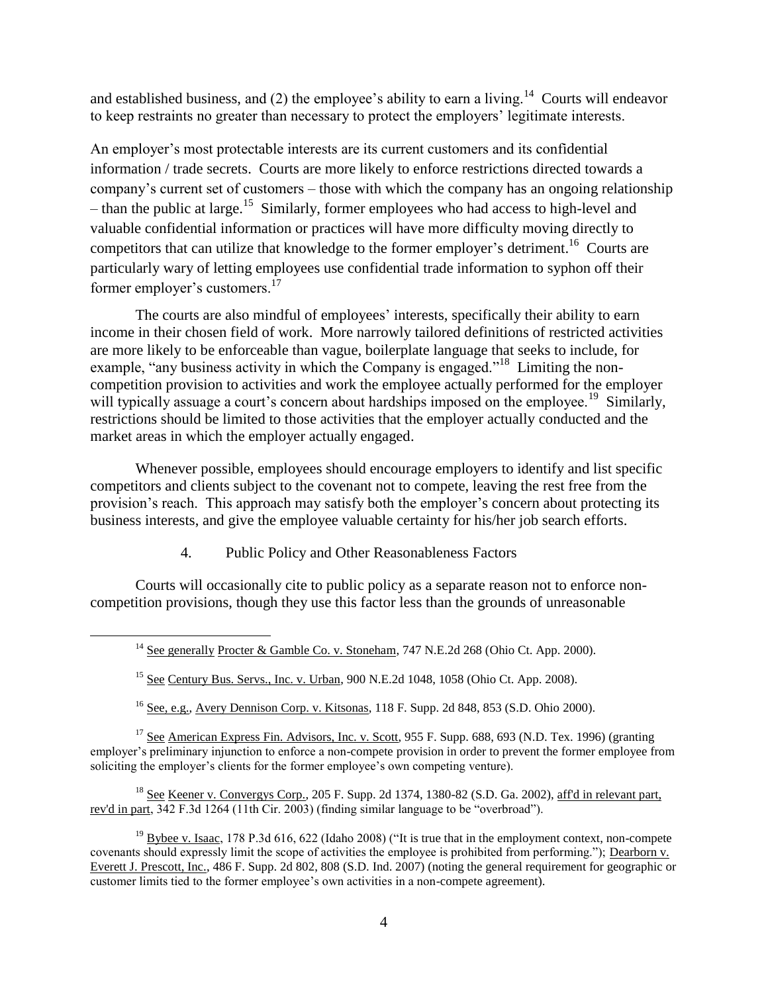and established business, and (2) the employee's ability to earn a living.<sup>14</sup> Courts will endeavor to keep restraints no greater than necessary to protect the employers' legitimate interests.

An employer's most protectable interests are its current customers and its confidential information / trade secrets. Courts are more likely to enforce restrictions directed towards a company's current set of customers – those with which the company has an ongoing relationship – than the public at large.<sup>15</sup> Similarly, former employees who had access to high-level and valuable confidential information or practices will have more difficulty moving directly to competitors that can utilize that knowledge to the former employer's detriment.<sup>16</sup> Courts are particularly wary of letting employees use confidential trade information to syphon off their former employer's customers.<sup>17</sup>

The courts are also mindful of employees' interests, specifically their ability to earn income in their chosen field of work. More narrowly tailored definitions of restricted activities are more likely to be enforceable than vague, boilerplate language that seeks to include, for example, "any business activity in which the Company is engaged."<sup>18</sup> Limiting the noncompetition provision to activities and work the employee actually performed for the employer will typically assuage a court's concern about hardships imposed on the employee.<sup>19</sup> Similarly, restrictions should be limited to those activities that the employer actually conducted and the market areas in which the employer actually engaged.

Whenever possible, employees should encourage employers to identify and list specific competitors and clients subject to the covenant not to compete, leaving the rest free from the provision's reach. This approach may satisfy both the employer's concern about protecting its business interests, and give the employee valuable certainty for his/her job search efforts.

4. Public Policy and Other Reasonableness Factors

 $\overline{a}$ 

Courts will occasionally cite to public policy as a separate reason not to enforce noncompetition provisions, though they use this factor less than the grounds of unreasonable

<sup>15</sup> See Century Bus. Servs., Inc. v. Urban, 900 N.E.2d 1048, 1058 (Ohio Ct. App. 2008).

 $16$  See, e.g., Avery Dennison Corp. v. Kitsonas, 118 F. Supp. 2d 848, 853 (S.D. Ohio 2000).

<sup>17</sup> See American Express Fin. Advisors, Inc. v. Scott, 955 F. Supp. 688, 693 (N.D. Tex. 1996) (granting employer's preliminary injunction to enforce a non-compete provision in order to prevent the former employee from soliciting the employer's clients for the former employee's own competing venture).

<sup>18</sup> See Keener v. Convergys Corp., 205 F. Supp. 2d 1374, 1380-82 (S.D. Ga. 2002), aff'd in relevant part, rev'd in part, 342 F.3d 1264 (11th Cir. 2003) (finding similar language to be "overbroad").

<sup>19</sup> Bybee v. Isaac, 178 P.3d 616, 622 (Idaho 2008) ("It is true that in the employment context, non-compete covenants should expressly limit the scope of activities the employee is prohibited from performing."); Dearborn v. Everett J. Prescott, Inc., 486 F. Supp. 2d 802, 808 (S.D. Ind. 2007) (noting the general requirement for geographic or customer limits tied to the former employee's own activities in a non-compete agreement).

<sup>&</sup>lt;sup>14</sup> See generally Procter & Gamble Co. v. Stoneham, 747 N.E.2d 268 (Ohio Ct. App. 2000).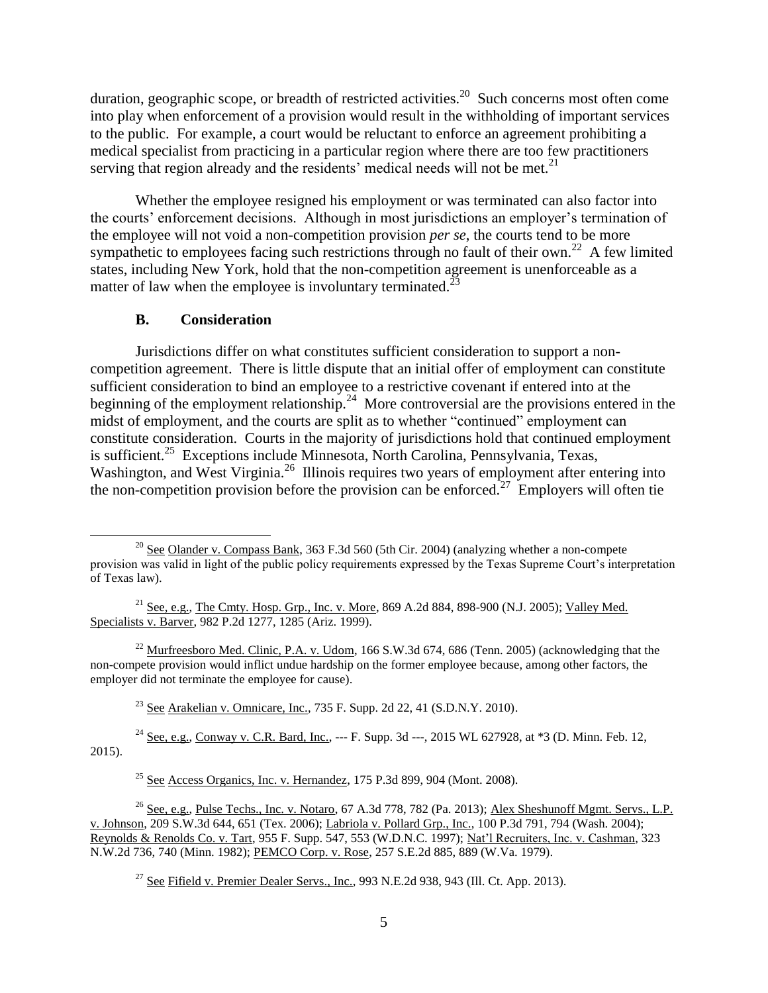duration, geographic scope, or breadth of restricted activities.<sup>20</sup> Such concerns most often come into play when enforcement of a provision would result in the withholding of important services to the public. For example, a court would be reluctant to enforce an agreement prohibiting a medical specialist from practicing in a particular region where there are too few practitioners serving that region already and the residents' medical needs will not be met. $21$ 

Whether the employee resigned his employment or was terminated can also factor into the courts' enforcement decisions. Although in most jurisdictions an employer's termination of the employee will not void a non-competition provision *per se*, the courts tend to be more sympathetic to employees facing such restrictions through no fault of their own.<sup>22</sup> A few limited states, including New York, hold that the non-competition agreement is unenforceable as a matter of law when the employee is involuntary terminated.<sup>23</sup>

### **B. Consideration**

 $\overline{a}$ 

Jurisdictions differ on what constitutes sufficient consideration to support a noncompetition agreement. There is little dispute that an initial offer of employment can constitute sufficient consideration to bind an employee to a restrictive covenant if entered into at the beginning of the employment relationship.<sup>24</sup> More controversial are the provisions entered in the midst of employment, and the courts are split as to whether "continued" employment can constitute consideration. Courts in the majority of jurisdictions hold that continued employment is sufficient.<sup>25</sup> Exceptions include Minnesota, North Carolina, Pennsylvania, Texas, Washington, and West Virginia.<sup>26</sup> Illinois requires two years of employment after entering into the non-competition provision before the provision can be enforced.<sup>27</sup> Employers will often tie

<sup>22</sup> Murfreesboro Med. Clinic, P.A. v. Udom, 166 S.W.3d 674, 686 (Tenn. 2005) (acknowledging that the non-compete provision would inflict undue hardship on the former employee because, among other factors, the employer did not terminate the employee for cause).

<sup>23</sup> See Arakelian v. Omnicare, Inc., 735 F. Supp. 2d 22, 41 (S.D.N.Y. 2010).

<sup>24</sup> See, e.g., Conway v. C.R. Bard, Inc., --- F. Supp. 3d ---, 2015 WL 627928, at  $*3$  (D. Minn. Feb. 12, 2015).

 $25$  See Access Organics, Inc. v. Hernandez, 175 P.3d 899, 904 (Mont. 2008).

<sup>26</sup> See, e.g., Pulse Techs., Inc. v. Notaro, 67 A.3d 778, 782 (Pa. 2013); Alex Sheshunoff Mgmt. Servs., L.P. v. Johnson, 209 S.W.3d 644, 651 (Tex. 2006); Labriola v. Pollard Grp., Inc., 100 P.3d 791, 794 (Wash. 2004); Reynolds & Renolds Co. v. Tart, 955 F. Supp. 547, 553 (W.D.N.C. 1997); Nat'l Recruiters, Inc. v. Cashman, 323 N.W.2d 736, 740 (Minn. 1982); PEMCO Corp. v. Rose, 257 S.E.2d 885, 889 (W.Va. 1979).

<sup>27</sup> See Fifield v. Premier Dealer Servs., Inc., 993 N.E.2d 938, 943 (Ill. Ct. App. 2013).

<sup>&</sup>lt;sup>20</sup> See Olander v. Compass Bank, 363 F.3d 560 (5th Cir. 2004) (analyzing whether a non-compete provision was valid in light of the public policy requirements expressed by the Texas Supreme Court's interpretation of Texas law).

<sup>&</sup>lt;sup>21</sup> See, e.g., The Cmty. Hosp. Grp., Inc. v. More, 869 A.2d 884, 898-900 (N.J. 2005); Valley Med. Specialists v. Barver, 982 P.2d 1277, 1285 (Ariz. 1999).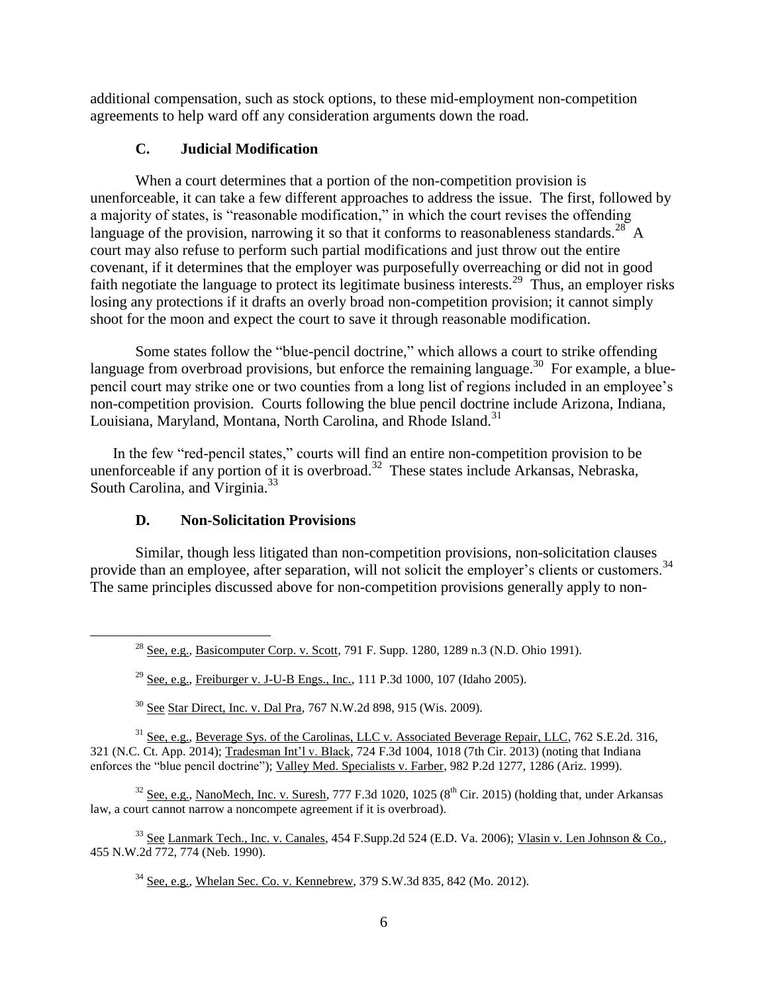additional compensation, such as stock options, to these mid-employment non-competition agreements to help ward off any consideration arguments down the road.

## **C. Judicial Modification**

When a court determines that a portion of the non-competition provision is unenforceable, it can take a few different approaches to address the issue. The first, followed by a majority of states, is "reasonable modification," in which the court revises the offending language of the provision, narrowing it so that it conforms to reasonableness standards.<sup>28</sup> A court may also refuse to perform such partial modifications and just throw out the entire covenant, if it determines that the employer was purposefully overreaching or did not in good faith negotiate the language to protect its legitimate business interests.<sup>29</sup> Thus, an employer risks losing any protections if it drafts an overly broad non-competition provision; it cannot simply shoot for the moon and expect the court to save it through reasonable modification.

Some states follow the "blue-pencil doctrine," which allows a court to strike offending language from overbroad provisions, but enforce the remaining language.<sup>30</sup> For example, a bluepencil court may strike one or two counties from a long list of regions included in an employee's non-competition provision. Courts following the blue pencil doctrine include Arizona, Indiana, Louisiana, Maryland, Montana, North Carolina, and Rhode Island.<sup>31</sup>

In the few "red-pencil states," courts will find an entire non-competition provision to be unenforceable if any portion of it is overbroad.<sup>32</sup> These states include Arkansas, Nebraska, South Carolina, and Virginia.<sup>33</sup>

# **D. Non-Solicitation Provisions**

 $\overline{a}$ 

Similar, though less litigated than non-competition provisions, non-solicitation clauses provide than an employee, after separation, will not solicit the employer's clients or customers.<sup>34</sup> The same principles discussed above for non-competition provisions generally apply to non-

 $30$  See Star Direct, Inc. v. Dal Pra, 767 N.W.2d 898, 915 (Wis. 2009).

<sup>31</sup> See, e.g., Beverage Sys. of the Carolinas, LLC v. Associated Beverage Repair, LLC, 762 S.E.2d. 316, 321 (N.C. Ct. App. 2014); Tradesman Int'l v. Black, 724 F.3d 1004, 1018 (7th Cir. 2013) (noting that Indiana enforces the "blue pencil doctrine"); Valley Med. Specialists v. Farber, 982 P.2d 1277, 1286 (Ariz. 1999).

 $32$  See, e.g., NanoMech, Inc. v. Suresh, 777 F.3d 1020, 1025 ( $8<sup>th</sup>$  Cir. 2015) (holding that, under Arkansas law, a court cannot narrow a noncompete agreement if it is overbroad).

<sup>33</sup> See Lanmark Tech., Inc. v. Canales, 454 F.Supp.2d 524 (E.D. Va. 2006); Vlasin v. Len Johnson & Co., 455 N.W.2d 772, 774 (Neb. 1990).

<sup>34</sup> See, e.g., Whelan Sec. Co. v. Kennebrew, 379 S.W.3d 835, 842 (Mo. 2012).

<sup>&</sup>lt;sup>28</sup> See, e.g., Basicomputer Corp. v. Scott, 791 F. Supp. 1280, 1289 n.3 (N.D. Ohio 1991).

<sup>&</sup>lt;sup>29</sup> See, e.g., Freiburger v. J-U-B Engs., Inc., 111 P.3d 1000, 107 (Idaho 2005).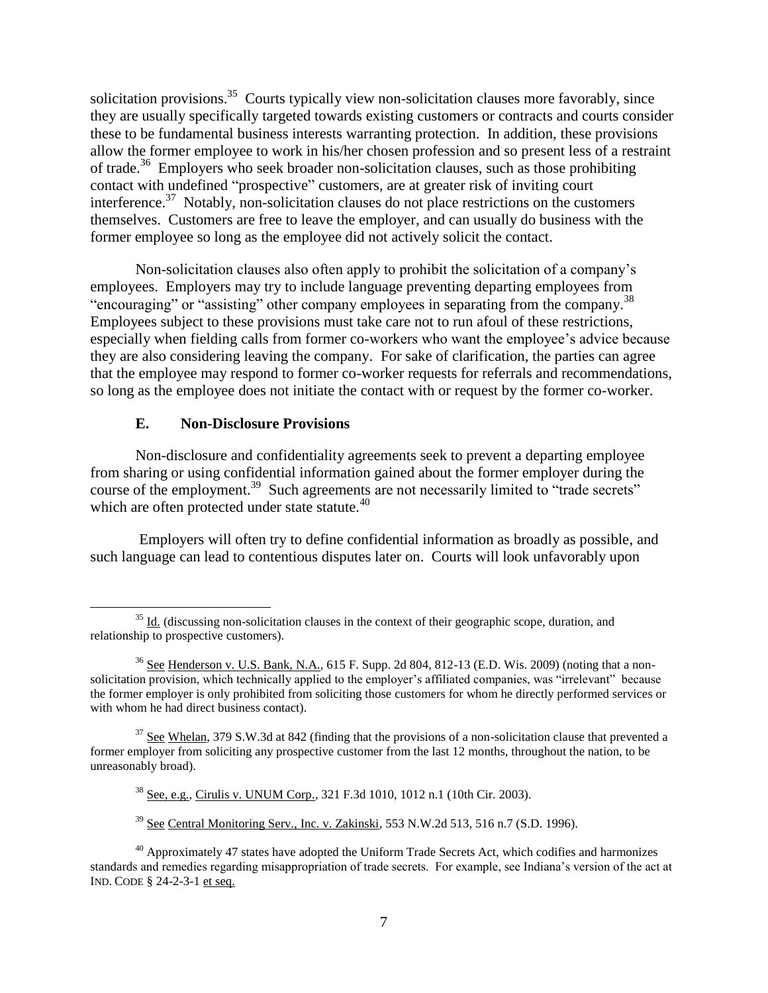solicitation provisions.<sup>35</sup> Courts typically view non-solicitation clauses more favorably, since they are usually specifically targeted towards existing customers or contracts and courts consider these to be fundamental business interests warranting protection. In addition, these provisions allow the former employee to work in his/her chosen profession and so present less of a restraint of trade.<sup>36</sup> Employers who seek broader non-solicitation clauses, such as those prohibiting contact with undefined "prospective" customers, are at greater risk of inviting court interference.<sup>37</sup> Notably, non-solicitation clauses do not place restrictions on the customers themselves. Customers are free to leave the employer, and can usually do business with the former employee so long as the employee did not actively solicit the contact.

Non-solicitation clauses also often apply to prohibit the solicitation of a company's employees. Employers may try to include language preventing departing employees from "encouraging" or "assisting" other company employees in separating from the company.<sup>38</sup> Employees subject to these provisions must take care not to run afoul of these restrictions, especially when fielding calls from former co-workers who want the employee's advice because they are also considering leaving the company. For sake of clarification, the parties can agree that the employee may respond to former co-worker requests for referrals and recommendations, so long as the employee does not initiate the contact with or request by the former co-worker.

### **E. Non-Disclosure Provisions**

 $\overline{a}$ 

Non-disclosure and confidentiality agreements seek to prevent a departing employee from sharing or using confidential information gained about the former employer during the course of the employment.<sup>39</sup> Such agreements are not necessarily limited to "trade secrets" which are often protected under state statute.<sup>40</sup>

Employers will often try to define confidential information as broadly as possible, and such language can lead to contentious disputes later on. Courts will look unfavorably upon

 $35$  Id. (discussing non-solicitation clauses in the context of their geographic scope, duration, and relationship to prospective customers).

<sup>36</sup> See Henderson v. U.S. Bank, N.A., 615 F. Supp. 2d 804, 812-13 (E.D. Wis. 2009) (noting that a nonsolicitation provision, which technically applied to the employer's affiliated companies, was "irrelevant" because the former employer is only prohibited from soliciting those customers for whom he directly performed services or with whom he had direct business contact).

 $37$  See Whelan, 379 S.W.3d at 842 (finding that the provisions of a non-solicitation clause that prevented a former employer from soliciting any prospective customer from the last 12 months, throughout the nation, to be unreasonably broad).

<sup>38</sup> See, e.g., Cirulis v. UNUM Corp., 321 F.3d 1010, 1012 n.1 (10th Cir. 2003).

 $39$  See Central Monitoring Serv., Inc. v. Zakinski, 553 N.W.2d 513, 516 n.7 (S.D. 1996).

 $40$  Approximately 47 states have adopted the Uniform Trade Secrets Act, which codifies and harmonizes standards and remedies regarding misappropriation of trade secrets. For example, see Indiana's version of the act at IND. CODE § 24-2-3-1 et seq.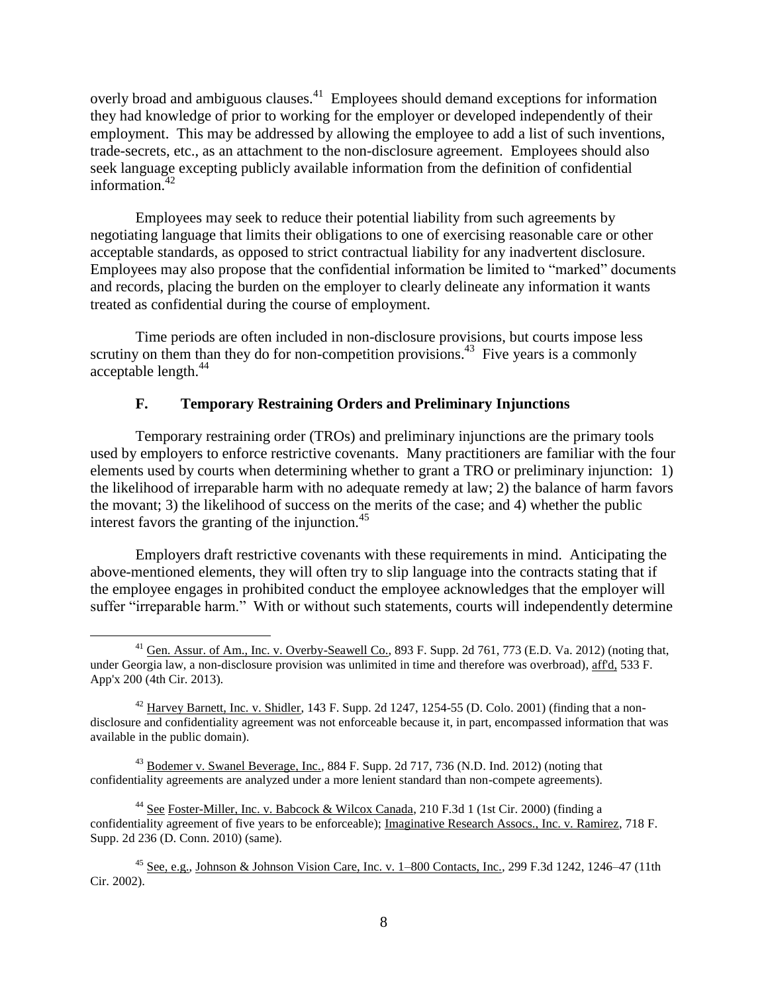overly broad and ambiguous clauses.<sup>41</sup> Employees should demand exceptions for information they had knowledge of prior to working for the employer or developed independently of their employment. This may be addressed by allowing the employee to add a list of such inventions, trade-secrets, etc., as an attachment to the non-disclosure agreement. Employees should also seek language excepting publicly available information from the definition of confidential information. 42

Employees may seek to reduce their potential liability from such agreements by negotiating language that limits their obligations to one of exercising reasonable care or other acceptable standards, as opposed to strict contractual liability for any inadvertent disclosure. Employees may also propose that the confidential information be limited to "marked" documents and records, placing the burden on the employer to clearly delineate any information it wants treated as confidential during the course of employment.

Time periods are often included in non-disclosure provisions, but courts impose less scrutiny on them than they do for non-competition provisions.<sup>43</sup> Five years is a commonly acceptable length.<sup>44</sup>

### **F. Temporary Restraining Orders and Preliminary Injunctions**

Temporary restraining order (TROs) and preliminary injunctions are the primary tools used by employers to enforce restrictive covenants. Many practitioners are familiar with the four elements used by courts when determining whether to grant a TRO or preliminary injunction: 1) the likelihood of irreparable harm with no adequate remedy at law; 2) the balance of harm favors the movant; 3) the likelihood of success on the merits of the case; and 4) whether the public interest favors the granting of the injunction. $45$ 

Employers draft restrictive covenants with these requirements in mind. Anticipating the above-mentioned elements, they will often try to slip language into the contracts stating that if the employee engages in prohibited conduct the employee acknowledges that the employer will suffer "irreparable harm." With or without such statements, courts will independently determine

 $\overline{a}$ 

<sup>44</sup> See Foster-Miller, Inc. v. Babcock & Wilcox Canada, 210 F.3d 1 (1st Cir. 2000) (finding a confidentiality agreement of five years to be enforceable); Imaginative Research Assocs., Inc. v. Ramirez, 718 F. Supp. 2d 236 (D. Conn. 2010) (same).

<sup>&</sup>lt;sup>41</sup> Gen. Assur. of Am., Inc. v. Overby-Seawell Co., 893 F. Supp. 2d 761, 773 (E.D. Va. 2012) (noting that, under Georgia law, a non-disclosure provision was unlimited in time and therefore was overbroad), aff'd, 533 F. App'x 200 (4th Cir. 2013).

 $^{42}$  Harvey Barnett, Inc. v. Shidler, 143 F. Supp. 2d 1247, 1254-55 (D. Colo. 2001) (finding that a nondisclosure and confidentiality agreement was not enforceable because it, in part, encompassed information that was available in the public domain).

<sup>&</sup>lt;sup>43</sup> Bodemer v. Swanel Beverage, Inc., 884 F. Supp. 2d 717, 736 (N.D. Ind. 2012) (noting that confidentiality agreements are analyzed under a more lenient standard than non-compete agreements).

<sup>45</sup> See, e.g., Johnson & Johnson Vision Care, Inc. v. 1–800 Contacts, Inc.*,* 299 F.3d 1242, 1246–47 (11th Cir. 2002).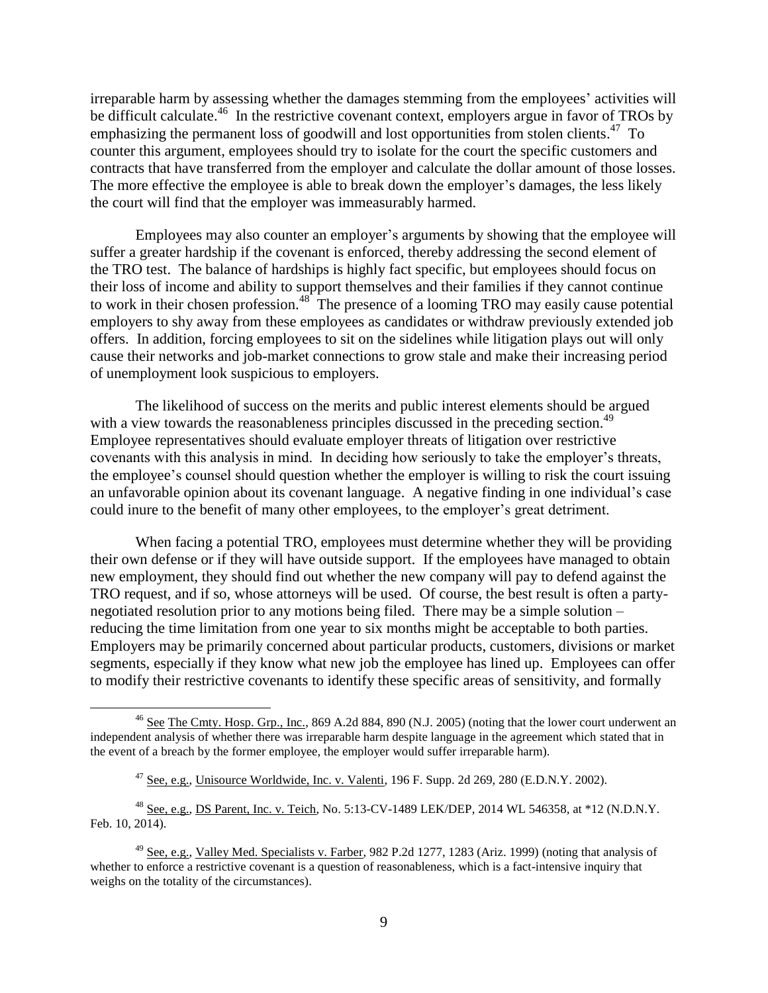irreparable harm by assessing whether the damages stemming from the employees' activities will be difficult calculate.<sup>46</sup> In the restrictive covenant context, employers argue in favor of TROs by emphasizing the permanent loss of goodwill and lost opportunities from stolen clients.<sup>47</sup> To counter this argument, employees should try to isolate for the court the specific customers and contracts that have transferred from the employer and calculate the dollar amount of those losses. The more effective the employee is able to break down the employer's damages, the less likely the court will find that the employer was immeasurably harmed.

Employees may also counter an employer's arguments by showing that the employee will suffer a greater hardship if the covenant is enforced, thereby addressing the second element of the TRO test. The balance of hardships is highly fact specific, but employees should focus on their loss of income and ability to support themselves and their families if they cannot continue to work in their chosen profession.<sup>48</sup> The presence of a looming TRO may easily cause potential employers to shy away from these employees as candidates or withdraw previously extended job offers. In addition, forcing employees to sit on the sidelines while litigation plays out will only cause their networks and job-market connections to grow stale and make their increasing period of unemployment look suspicious to employers.

The likelihood of success on the merits and public interest elements should be argued with a view towards the reasonableness principles discussed in the preceding section.<sup>49</sup> Employee representatives should evaluate employer threats of litigation over restrictive covenants with this analysis in mind. In deciding how seriously to take the employer's threats, the employee's counsel should question whether the employer is willing to risk the court issuing an unfavorable opinion about its covenant language. A negative finding in one individual's case could inure to the benefit of many other employees, to the employer's great detriment.

When facing a potential TRO, employees must determine whether they will be providing their own defense or if they will have outside support. If the employees have managed to obtain new employment, they should find out whether the new company will pay to defend against the TRO request, and if so, whose attorneys will be used. Of course, the best result is often a partynegotiated resolution prior to any motions being filed. There may be a simple solution – reducing the time limitation from one year to six months might be acceptable to both parties. Employers may be primarily concerned about particular products, customers, divisions or market segments, especially if they know what new job the employee has lined up. Employees can offer to modify their restrictive covenants to identify these specific areas of sensitivity, and formally

<sup>&</sup>lt;sup>46</sup> See The Cmty. Hosp. Grp., Inc., 869 A.2d 884, 890 (N.J. 2005) (noting that the lower court underwent an independent analysis of whether there was irreparable harm despite language in the agreement which stated that in the event of a breach by the former employee, the employer would suffer irreparable harm).

 $47$  See, e.g., Unisource Worldwide, Inc. v. Valenti, 196 F. Supp. 2d 269, 280 (E.D.N.Y. 2002).

<sup>48</sup> See, e.g., DS Parent, Inc. v. Teich, No. 5:13-CV-1489 LEK/DEP, 2014 WL 546358, at \*12 (N.D.N.Y. Feb. 10, 2014).

<sup>49</sup> See, e.g., Valley Med. Specialists v. Farber, 982 P.2d 1277, 1283 (Ariz. 1999) (noting that analysis of whether to enforce a restrictive covenant is a question of reasonableness, which is a fact-intensive inquiry that weighs on the totality of the circumstances).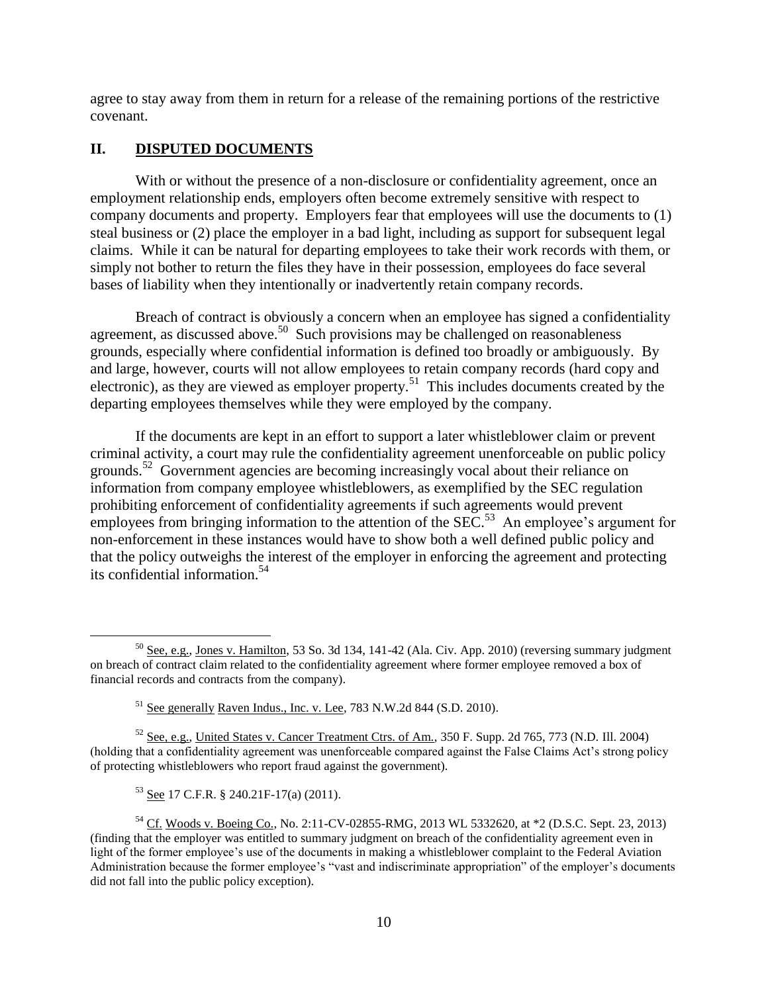agree to stay away from them in return for a release of the remaining portions of the restrictive covenant.

# **II. DISPUTED DOCUMENTS**

With or without the presence of a non-disclosure or confidentiality agreement, once an employment relationship ends, employers often become extremely sensitive with respect to company documents and property. Employers fear that employees will use the documents to (1) steal business or (2) place the employer in a bad light, including as support for subsequent legal claims. While it can be natural for departing employees to take their work records with them, or simply not bother to return the files they have in their possession, employees do face several bases of liability when they intentionally or inadvertently retain company records.

Breach of contract is obviously a concern when an employee has signed a confidentiality agreement, as discussed above.<sup>50</sup> Such provisions may be challenged on reasonableness grounds, especially where confidential information is defined too broadly or ambiguously. By and large, however, courts will not allow employees to retain company records (hard copy and electronic), as they are viewed as employer property.<sup>51</sup> This includes documents created by the departing employees themselves while they were employed by the company.

If the documents are kept in an effort to support a later whistleblower claim or prevent criminal activity, a court may rule the confidentiality agreement unenforceable on public policy grounds.<sup>52</sup> Government agencies are becoming increasingly vocal about their reliance on information from company employee whistleblowers, as exemplified by the SEC regulation prohibiting enforcement of confidentiality agreements if such agreements would prevent employees from bringing information to the attention of the  $SEC$ <sup>53</sup>. An employee's argument for non-enforcement in these instances would have to show both a well defined public policy and that the policy outweighs the interest of the employer in enforcing the agreement and protecting its confidential information.<sup>54</sup>

<sup>53</sup> See 17 C.F.R. § 240.21F-17(a) (2011).

 $50$  See, e.g., Jones v. Hamilton, 53 So. 3d 134, 141-42 (Ala. Civ. App. 2010) (reversing summary judgment on breach of contract claim related to the confidentiality agreement where former employee removed a box of financial records and contracts from the company).

<sup>51</sup> See generally Raven Indus., Inc. v. Lee, 783 N.W.2d 844 (S.D. 2010).

<sup>52</sup> See, e.g., United States v. Cancer Treatment Ctrs. of Am., 350 F. Supp. 2d 765, 773 (N.D. Ill. 2004) (holding that a confidentiality agreement was unenforceable compared against the False Claims Act's strong policy of protecting whistleblowers who report fraud against the government).

<sup>54</sup> Cf. Woods v. Boeing Co., No. 2:11-CV-02855-RMG, 2013 WL 5332620, at \*2 (D.S.C. Sept. 23, 2013) (finding that the employer was entitled to summary judgment on breach of the confidentiality agreement even in light of the former employee's use of the documents in making a whistleblower complaint to the Federal Aviation Administration because the former employee's "vast and indiscriminate appropriation" of the employer's documents did not fall into the public policy exception).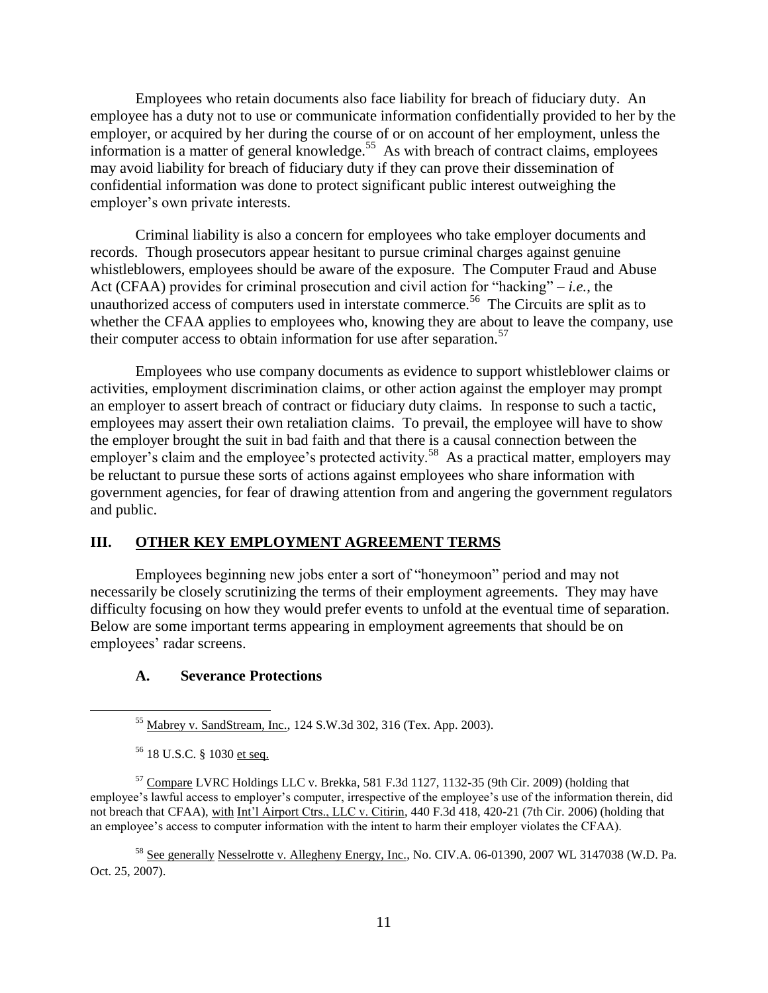Employees who retain documents also face liability for breach of fiduciary duty. An employee has a duty not to use or communicate information confidentially provided to her by the employer, or acquired by her during the course of or on account of her employment, unless the information is a matter of general knowledge.<sup>55</sup> As with breach of contract claims, employees may avoid liability for breach of fiduciary duty if they can prove their dissemination of confidential information was done to protect significant public interest outweighing the employer's own private interests.

Criminal liability is also a concern for employees who take employer documents and records. Though prosecutors appear hesitant to pursue criminal charges against genuine whistleblowers, employees should be aware of the exposure. The Computer Fraud and Abuse Act (CFAA) provides for criminal prosecution and civil action for "hacking" – *i.e.*, the unauthorized access of computers used in interstate commerce.<sup>56</sup> The Circuits are split as to whether the CFAA applies to employees who, knowing they are about to leave the company, use their computer access to obtain information for use after separation.<sup>57</sup>

Employees who use company documents as evidence to support whistleblower claims or activities, employment discrimination claims, or other action against the employer may prompt an employer to assert breach of contract or fiduciary duty claims. In response to such a tactic, employees may assert their own retaliation claims. To prevail, the employee will have to show the employer brought the suit in bad faith and that there is a causal connection between the employer's claim and the employee's protected activity.<sup>58</sup> As a practical matter, employers may be reluctant to pursue these sorts of actions against employees who share information with government agencies, for fear of drawing attention from and angering the government regulators and public.

#### **III. OTHER KEY EMPLOYMENT AGREEMENT TERMS**

Employees beginning new jobs enter a sort of "honeymoon" period and may not necessarily be closely scrutinizing the terms of their employment agreements. They may have difficulty focusing on how they would prefer events to unfold at the eventual time of separation. Below are some important terms appearing in employment agreements that should be on employees' radar screens.

#### **A. Severance Protections**

 $\overline{a}$ 

<sup>58</sup> See generally Nesselrotte v. Allegheny Energy, Inc., No. CIV.A. 06-01390, 2007 WL 3147038 (W.D. Pa. Oct. 25, 2007).

<sup>55</sup> Mabrey v. SandStream, Inc., 124 S.W.3d 302, 316 (Tex. App. 2003).

<sup>56</sup> 18 U.S.C. § 1030 et seq.

<sup>57</sup> Compare LVRC Holdings LLC v. Brekka, 581 F.3d 1127, 1132-35 (9th Cir. 2009) (holding that employee's lawful access to employer's computer, irrespective of the employee's use of the information therein, did not breach that CFAA), with Int'l Airport Ctrs., LLC v. Citirin, 440 F.3d 418, 420-21 (7th Cir. 2006) (holding that an employee's access to computer information with the intent to harm their employer violates the CFAA).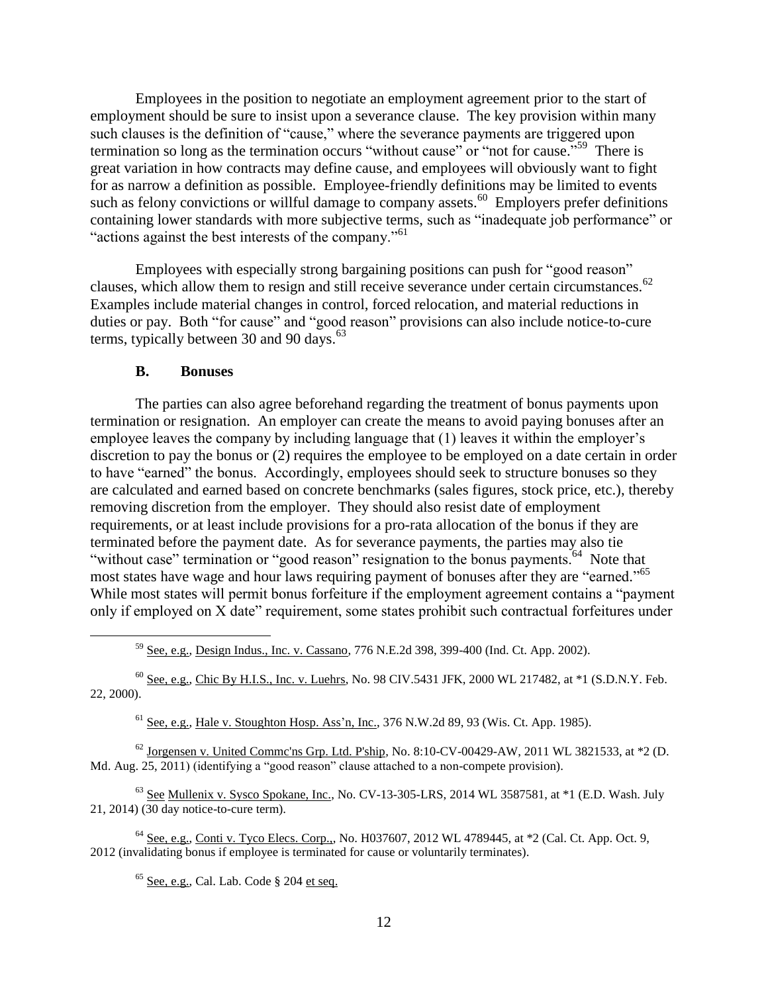Employees in the position to negotiate an employment agreement prior to the start of employment should be sure to insist upon a severance clause. The key provision within many such clauses is the definition of "cause," where the severance payments are triggered upon termination so long as the termination occurs "without cause" or "not for cause."<sup>59</sup> There is great variation in how contracts may define cause, and employees will obviously want to fight for as narrow a definition as possible. Employee-friendly definitions may be limited to events such as felony convictions or willful damage to company assets.<sup>60</sup> Employers prefer definitions containing lower standards with more subjective terms, such as "inadequate job performance" or "actions against the best interests of the company."<sup>61</sup>

Employees with especially strong bargaining positions can push for "good reason" clauses, which allow them to resign and still receive severance under certain circumstances.<sup>62</sup> Examples include material changes in control, forced relocation, and material reductions in duties or pay. Both "for cause" and "good reason" provisions can also include notice-to-cure terms, typically between 30 and 90 days.<sup>63</sup>

#### **B. Bonuses**

 $\overline{a}$ 

The parties can also agree beforehand regarding the treatment of bonus payments upon termination or resignation. An employer can create the means to avoid paying bonuses after an employee leaves the company by including language that (1) leaves it within the employer's discretion to pay the bonus or (2) requires the employee to be employed on a date certain in order to have "earned" the bonus. Accordingly, employees should seek to structure bonuses so they are calculated and earned based on concrete benchmarks (sales figures, stock price, etc.), thereby removing discretion from the employer. They should also resist date of employment requirements, or at least include provisions for a pro-rata allocation of the bonus if they are terminated before the payment date. As for severance payments, the parties may also tie "without case" termination or "good reason" resignation to the bonus payments.<sup>64</sup> Note that most states have wage and hour laws requiring payment of bonuses after they are "earned." 65 While most states will permit bonus forfeiture if the employment agreement contains a "payment" only if employed on X date" requirement, some states prohibit such contractual forfeitures under

<sup>59</sup> See, e.g., Design Indus., Inc. v. Cassano, 776 N.E.2d 398, 399-400 (Ind. Ct. App. 2002).

 $^{60}$  See, e.g., Chic By H.I.S., Inc. v. Luehrs, No. 98 CIV.5431 JFK, 2000 WL 217482, at  $*1$  (S.D.N.Y. Feb. 22, 2000).

 $<sup>61</sup>$  See, e.g., Hale v. Stoughton Hosp. Ass'n, Inc., 376 N.W.2d 89, 93 (Wis. Ct. App. 1985).</sup>

 $62$  Jorgensen v. United Commc'ns Grp. Ltd. P'ship, No. 8:10-CV-00429-AW, 2011 WL 3821533, at  $*2$  (D. Md. Aug. 25, 2011) (identifying a "good reason" clause attached to a non-compete provision).

 $63$  See Mullenix v. Sysco Spokane, Inc., No. CV-13-305-LRS, 2014 WL 3587581, at  $*1$  (E.D. Wash. July 21, 2014) (30 day notice-to-cure term).

<sup>64</sup> See, e.g., Conti v. Tyco Elecs. Corp.,, No. H037607, 2012 WL 4789445, at \*2 (Cal. Ct. App. Oct. 9, 2012 (invalidating bonus if employee is terminated for cause or voluntarily terminates).

 $<sup>65</sup>$  See, e.g., Cal. Lab. Code § 204 et seq.</sup>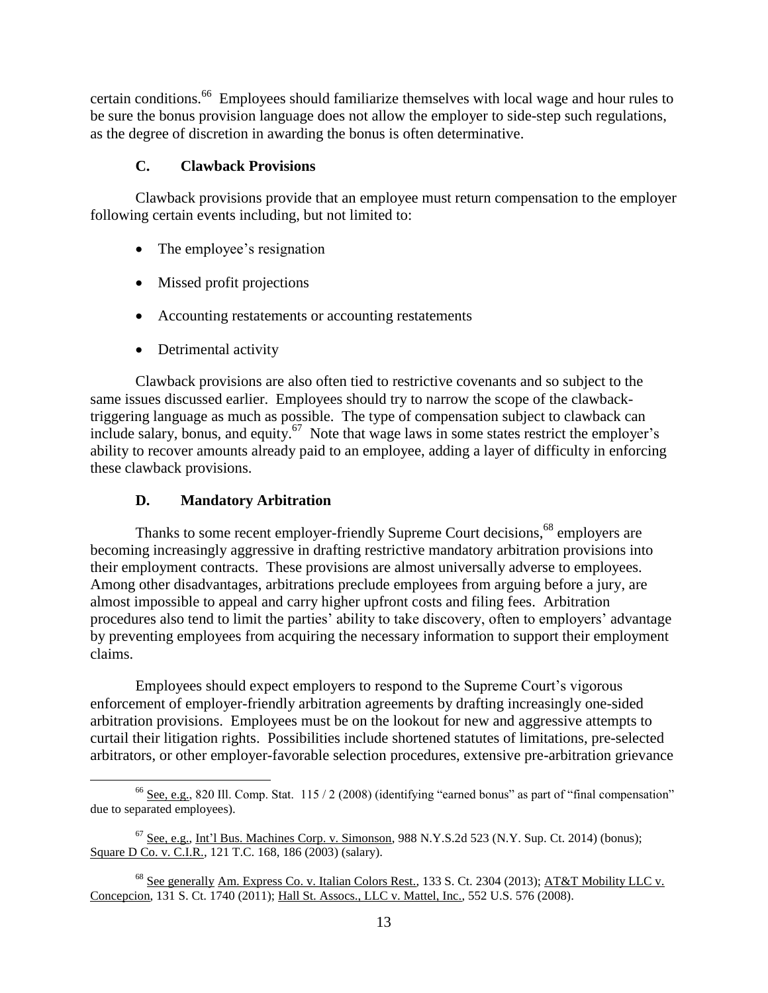certain conditions.<sup>66</sup> Employees should familiarize themselves with local wage and hour rules to be sure the bonus provision language does not allow the employer to side-step such regulations, as the degree of discretion in awarding the bonus is often determinative.

# **C. Clawback Provisions**

Clawback provisions provide that an employee must return compensation to the employer following certain events including, but not limited to:

- The employee's resignation
- Missed profit projections
- Accounting restatements or accounting restatements
- Detrimental activity

Clawback provisions are also often tied to restrictive covenants and so subject to the same issues discussed earlier. Employees should try to narrow the scope of the clawbacktriggering language as much as possible. The type of compensation subject to clawback can include salary, bonus, and equity.<sup>67</sup> Note that wage laws in some states restrict the employer's ability to recover amounts already paid to an employee, adding a layer of difficulty in enforcing these clawback provisions.

# **D. Mandatory Arbitration**

Thanks to some recent employer-friendly Supreme Court decisions,<sup>68</sup> employers are becoming increasingly aggressive in drafting restrictive mandatory arbitration provisions into their employment contracts. These provisions are almost universally adverse to employees. Among other disadvantages, arbitrations preclude employees from arguing before a jury, are almost impossible to appeal and carry higher upfront costs and filing fees. Arbitration procedures also tend to limit the parties' ability to take discovery, often to employers' advantage by preventing employees from acquiring the necessary information to support their employment claims.

Employees should expect employers to respond to the Supreme Court's vigorous enforcement of employer-friendly arbitration agreements by drafting increasingly one-sided arbitration provisions. Employees must be on the lookout for new and aggressive attempts to curtail their litigation rights. Possibilities include shortened statutes of limitations, pre-selected arbitrators, or other employer-favorable selection procedures, extensive pre-arbitration grievance

 $\overline{a}$ <sup>66</sup> See, e.g., 820 Ill. Comp. Stat.  $115/2$  (2008) (identifying "earned bonus" as part of "final compensation" due to separated employees).

 $<sup>67</sup>$  See, e.g., Int'l Bus. Machines Corp. v. Simonson, 988 N.Y.S.2d 523 (N.Y. Sup. Ct. 2014) (bonus);</sup> Square D Co. v. C.I.R., 121 T.C. 168, 186 (2003) (salary).

<sup>&</sup>lt;sup>68</sup> See generally Am. Express Co. v. Italian Colors Rest., 133 S. Ct. 2304 (2013); AT&T Mobility LLC v. Concepcion, 131 S. Ct. 1740 (2011); Hall St. Assocs., LLC v. Mattel, Inc., 552 U.S. 576 (2008).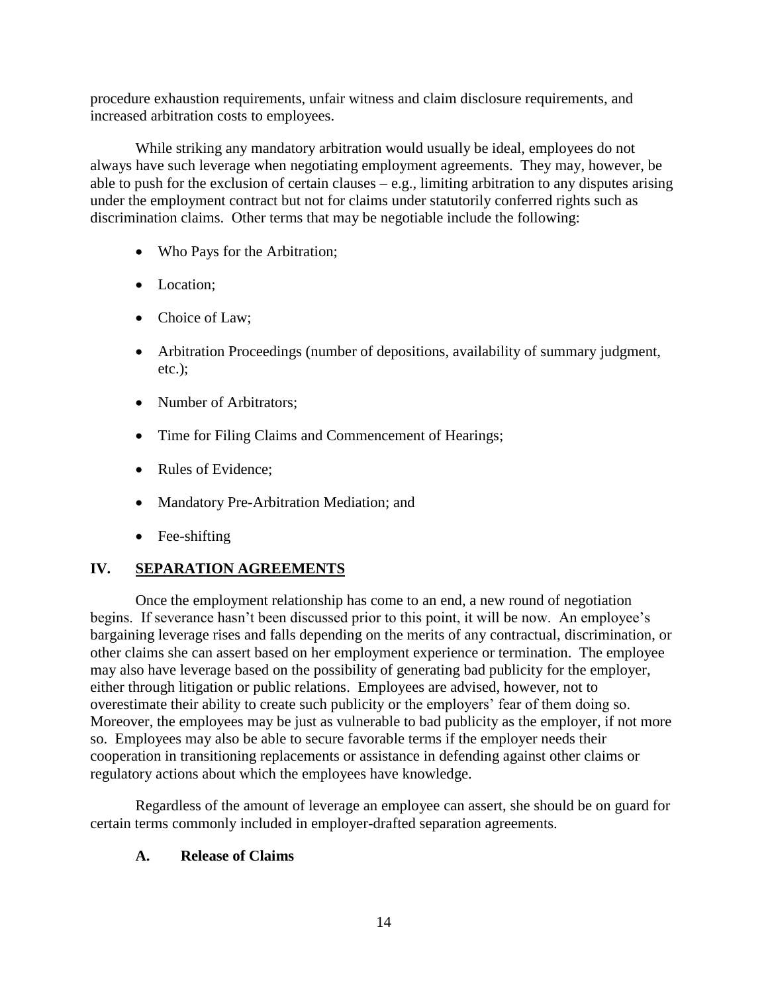procedure exhaustion requirements, unfair witness and claim disclosure requirements, and increased arbitration costs to employees.

While striking any mandatory arbitration would usually be ideal, employees do not always have such leverage when negotiating employment agreements. They may, however, be able to push for the exclusion of certain clauses  $-e.g.,$  limiting arbitration to any disputes arising under the employment contract but not for claims under statutorily conferred rights such as discrimination claims. Other terms that may be negotiable include the following:

- Who Pays for the Arbitration;
- Location:
- Choice of Law;
- Arbitration Proceedings (number of depositions, availability of summary judgment, etc.);
- Number of Arbitrators:
- Time for Filing Claims and Commencement of Hearings;
- Rules of Evidence;
- Mandatory Pre-Arbitration Mediation; and
- Fee-shifting

# **IV. SEPARATION AGREEMENTS**

Once the employment relationship has come to an end, a new round of negotiation begins. If severance hasn't been discussed prior to this point, it will be now. An employee's bargaining leverage rises and falls depending on the merits of any contractual, discrimination, or other claims she can assert based on her employment experience or termination. The employee may also have leverage based on the possibility of generating bad publicity for the employer, either through litigation or public relations. Employees are advised, however, not to overestimate their ability to create such publicity or the employers' fear of them doing so. Moreover, the employees may be just as vulnerable to bad publicity as the employer, if not more so. Employees may also be able to secure favorable terms if the employer needs their cooperation in transitioning replacements or assistance in defending against other claims or regulatory actions about which the employees have knowledge.

Regardless of the amount of leverage an employee can assert, she should be on guard for certain terms commonly included in employer-drafted separation agreements.

# **A. Release of Claims**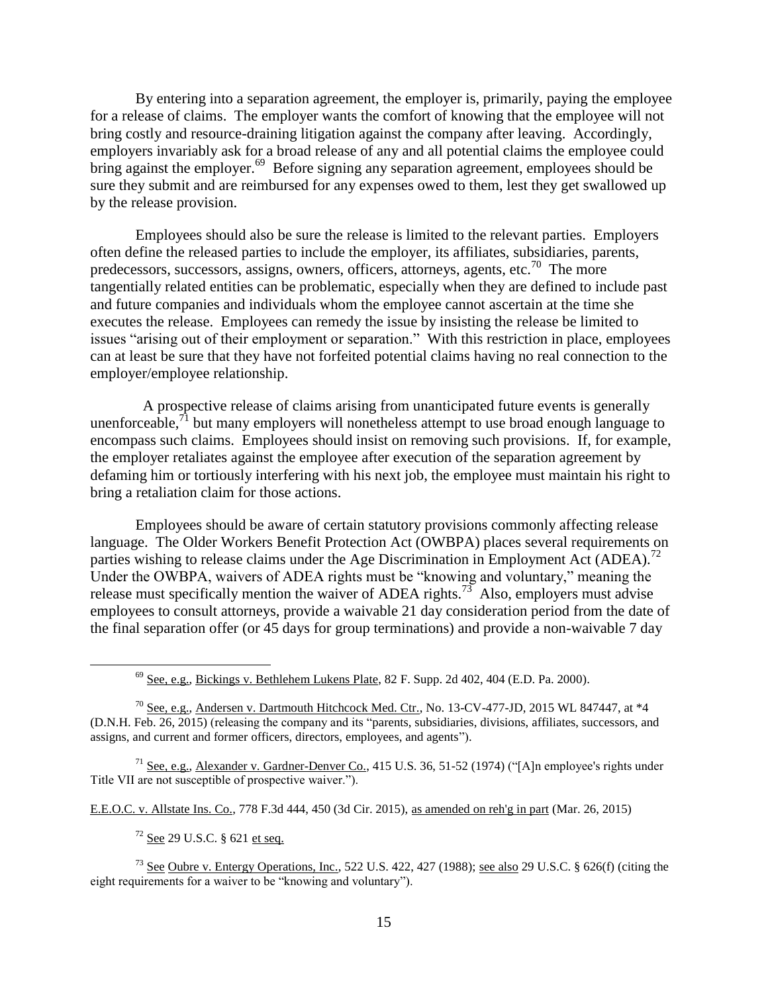By entering into a separation agreement, the employer is, primarily, paying the employee for a release of claims. The employer wants the comfort of knowing that the employee will not bring costly and resource-draining litigation against the company after leaving. Accordingly, employers invariably ask for a broad release of any and all potential claims the employee could bring against the employer.<sup>69</sup> Before signing any separation agreement, employees should be sure they submit and are reimbursed for any expenses owed to them, lest they get swallowed up by the release provision.

Employees should also be sure the release is limited to the relevant parties. Employers often define the released parties to include the employer, its affiliates, subsidiaries, parents, predecessors, successors, assigns, owners, officers, attorneys, agents, etc.<sup>70</sup> The more tangentially related entities can be problematic, especially when they are defined to include past and future companies and individuals whom the employee cannot ascertain at the time she executes the release. Employees can remedy the issue by insisting the release be limited to issues "arising out of their employment or separation." With this restriction in place, employees can at least be sure that they have not forfeited potential claims having no real connection to the employer/employee relationship.

 A prospective release of claims arising from unanticipated future events is generally unenforceable,  $^{71}$  but many employers will nonetheless attempt to use broad enough language to encompass such claims. Employees should insist on removing such provisions. If, for example, the employer retaliates against the employee after execution of the separation agreement by defaming him or tortiously interfering with his next job, the employee must maintain his right to bring a retaliation claim for those actions.

Employees should be aware of certain statutory provisions commonly affecting release language. The Older Workers Benefit Protection Act (OWBPA) places several requirements on parties wishing to release claims under the Age Discrimination in Employment Act (ADEA).<sup>72</sup> Under the OWBPA, waivers of ADEA rights must be "knowing and voluntary," meaning the release must specifically mention the waiver of ADEA rights.<sup>73</sup> Also, employers must advise employees to consult attorneys, provide a waivable 21 day consideration period from the date of the final separation offer (or 45 days for group terminations) and provide a non-waivable 7 day

 $^{69}$  See, e.g., Bickings v. Bethlehem Lukens Plate, 82 F. Supp. 2d 402, 404 (E.D. Pa. 2000).

<sup>70</sup> See, e.g., Andersen v. Dartmouth Hitchcock Med. Ctr., No. 13-CV-477-JD, 2015 WL 847447, at \*4 (D.N.H. Feb. 26, 2015) (releasing the company and its "parents, subsidiaries, divisions, affiliates, successors, and assigns, and current and former officers, directors, employees, and agents").

<sup>71</sup> See, e.g., Alexander v. Gardner-Denver Co., 415 U.S. 36, 51-52 (1974) ("[A]n employee's rights under Title VII are not susceptible of prospective waiver.").

E.E.O.C. v. Allstate Ins. Co., 778 F.3d 444, 450 (3d Cir. 2015), as amended on reh'g in part (Mar. 26, 2015)

 $72$  See 29 U.S.C.  $\frac{6}{21}$  et seq.

 $\overline{a}$ 

<sup>73</sup> See Oubre v. Entergy Operations, Inc., 522 U.S. 422, 427 (1988); see also 29 U.S.C. § 626(f) (citing the eight requirements for a waiver to be "knowing and voluntary").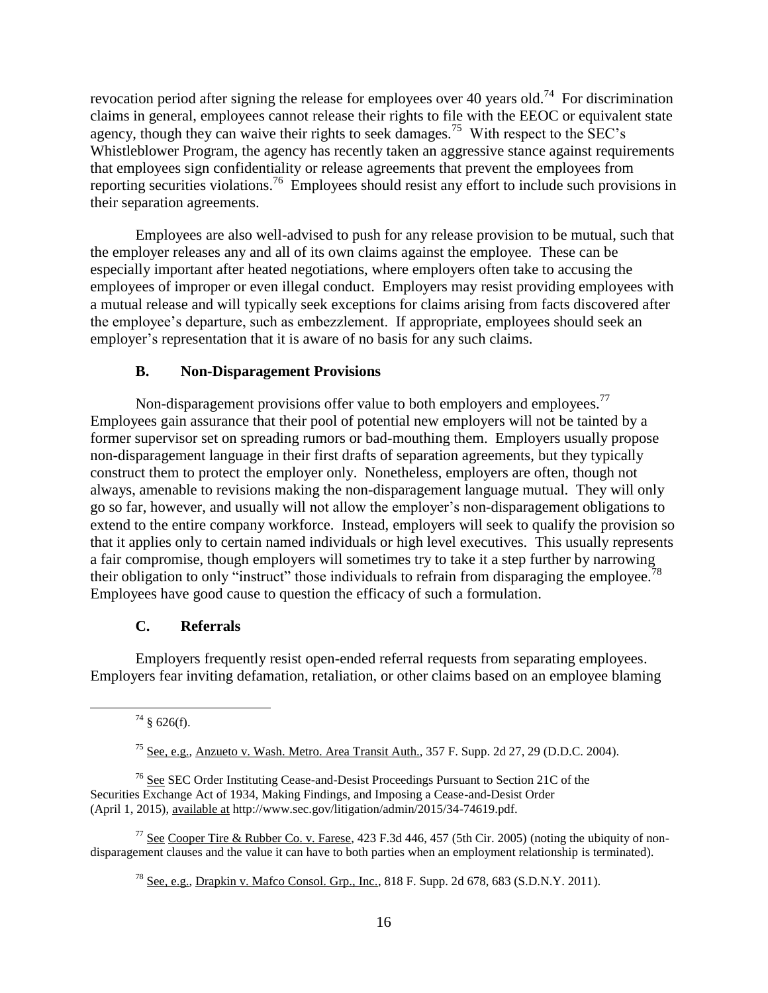revocation period after signing the release for employees over 40 years old.<sup>74</sup> For discrimination claims in general, employees cannot release their rights to file with the EEOC or equivalent state agency, though they can waive their rights to seek damages.<sup>75</sup> With respect to the SEC's Whistleblower Program, the agency has recently taken an aggressive stance against requirements that employees sign confidentiality or release agreements that prevent the employees from reporting securities violations.<sup>76</sup> Employees should resist any effort to include such provisions in their separation agreements.

Employees are also well-advised to push for any release provision to be mutual, such that the employer releases any and all of its own claims against the employee. These can be especially important after heated negotiations, where employers often take to accusing the employees of improper or even illegal conduct. Employers may resist providing employees with a mutual release and will typically seek exceptions for claims arising from facts discovered after the employee's departure, such as embezzlement. If appropriate, employees should seek an employer's representation that it is aware of no basis for any such claims.

### **B. Non-Disparagement Provisions**

Non-disparagement provisions offer value to both employers and employees.<sup>77</sup> Employees gain assurance that their pool of potential new employers will not be tainted by a former supervisor set on spreading rumors or bad-mouthing them. Employers usually propose non-disparagement language in their first drafts of separation agreements, but they typically construct them to protect the employer only. Nonetheless, employers are often, though not always, amenable to revisions making the non-disparagement language mutual. They will only go so far, however, and usually will not allow the employer's non-disparagement obligations to extend to the entire company workforce. Instead, employers will seek to qualify the provision so that it applies only to certain named individuals or high level executives. This usually represents a fair compromise, though employers will sometimes try to take it a step further by narrowing their obligation to only "instruct" those individuals to refrain from disparaging the employee.<sup>7</sup> Employees have good cause to question the efficacy of such a formulation.

### **C. Referrals**

Employers frequently resist open-ended referral requests from separating employees. Employers fear inviting defamation, retaliation, or other claims based on an employee blaming

 $74 \text{ }$ § 626(f).

<sup>&</sup>lt;sup>75</sup> See, e.g., Anzueto v. Wash. Metro. Area Transit Auth.,  $357$  F. Supp. 2d  $27$ , 29 (D.D.C. 2004).

 $76$  See SEC Order Instituting Cease-and-Desist Proceedings Pursuant to Section 21C of the Securities Exchange Act of 1934, Making Findings, and Imposing a Cease-and-Desist Order (April 1, 2015), available at http://www.sec.gov/litigation/admin/2015/34-74619.pdf.

<sup>&</sup>lt;sup>77</sup> See Cooper Tire & Rubber Co. v. Farese, 423 F.3d 446, 457 (5th Cir. 2005) (noting the ubiquity of nondisparagement clauses and the value it can have to both parties when an employment relationship is terminated).

 $^{78}$  See, e.g., Drapkin v. Mafco Consol. Grp., Inc., 818 F. Supp. 2d 678, 683 (S.D.N.Y. 2011).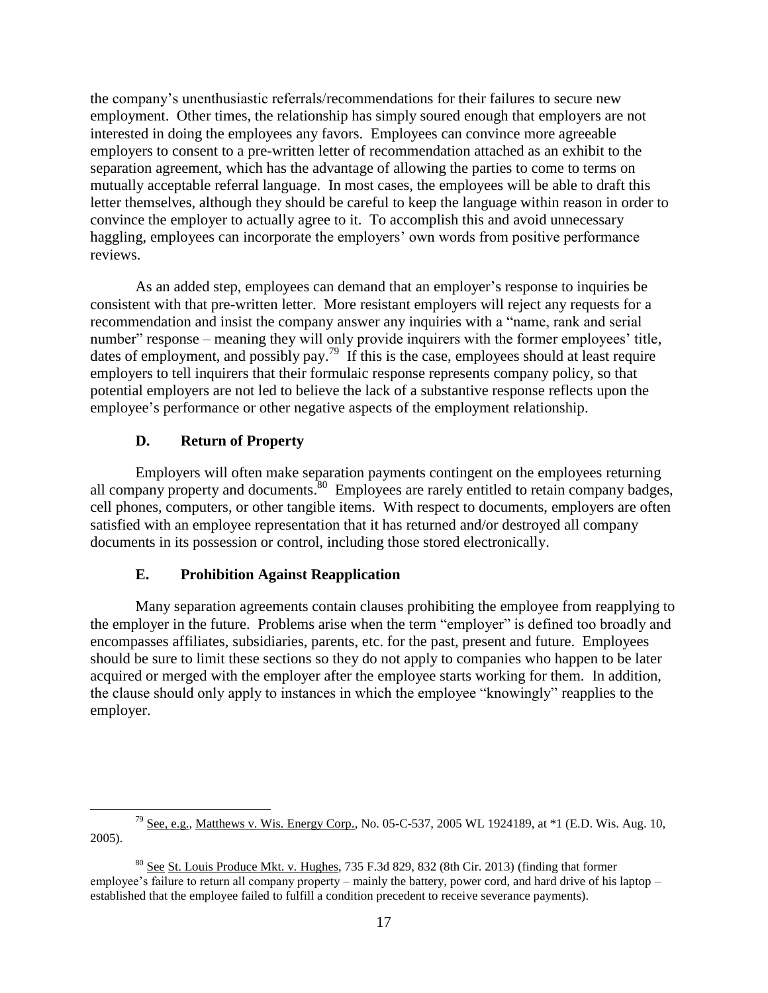the company's unenthusiastic referrals/recommendations for their failures to secure new employment. Other times, the relationship has simply soured enough that employers are not interested in doing the employees any favors. Employees can convince more agreeable employers to consent to a pre-written letter of recommendation attached as an exhibit to the separation agreement, which has the advantage of allowing the parties to come to terms on mutually acceptable referral language. In most cases, the employees will be able to draft this letter themselves, although they should be careful to keep the language within reason in order to convince the employer to actually agree to it. To accomplish this and avoid unnecessary haggling, employees can incorporate the employers' own words from positive performance reviews.

As an added step, employees can demand that an employer's response to inquiries be consistent with that pre-written letter. More resistant employers will reject any requests for a recommendation and insist the company answer any inquiries with a "name, rank and serial number" response – meaning they will only provide inquirers with the former employees' title, dates of employment, and possibly pay.<sup>79</sup> If this is the case, employees should at least require employers to tell inquirers that their formulaic response represents company policy, so that potential employers are not led to believe the lack of a substantive response reflects upon the employee's performance or other negative aspects of the employment relationship.

# **D. Return of Property**

Employers will often make separation payments contingent on the employees returning all company property and documents.<sup>80</sup> Employees are rarely entitled to retain company badges, cell phones, computers, or other tangible items. With respect to documents, employers are often satisfied with an employee representation that it has returned and/or destroyed all company documents in its possession or control, including those stored electronically.

# **E. Prohibition Against Reapplication**

Many separation agreements contain clauses prohibiting the employee from reapplying to the employer in the future. Problems arise when the term "employer" is defined too broadly and encompasses affiliates, subsidiaries, parents, etc. for the past, present and future. Employees should be sure to limit these sections so they do not apply to companies who happen to be later acquired or merged with the employer after the employee starts working for them. In addition, the clause should only apply to instances in which the employee "knowingly" reapplies to the employer.

 $\overline{a}$ <sup>79</sup> See, e.g., Matthews v. Wis. Energy Corp., No. 05-C-537, 2005 WL 1924189, at  $*1$  (E.D. Wis. Aug. 10, 2005).

<sup>80</sup> See St. Louis Produce Mkt. v. Hughes, 735 F.3d 829, 832 (8th Cir. 2013) (finding that former employee's failure to return all company property – mainly the battery, power cord, and hard drive of his laptop – established that the employee failed to fulfill a condition precedent to receive severance payments).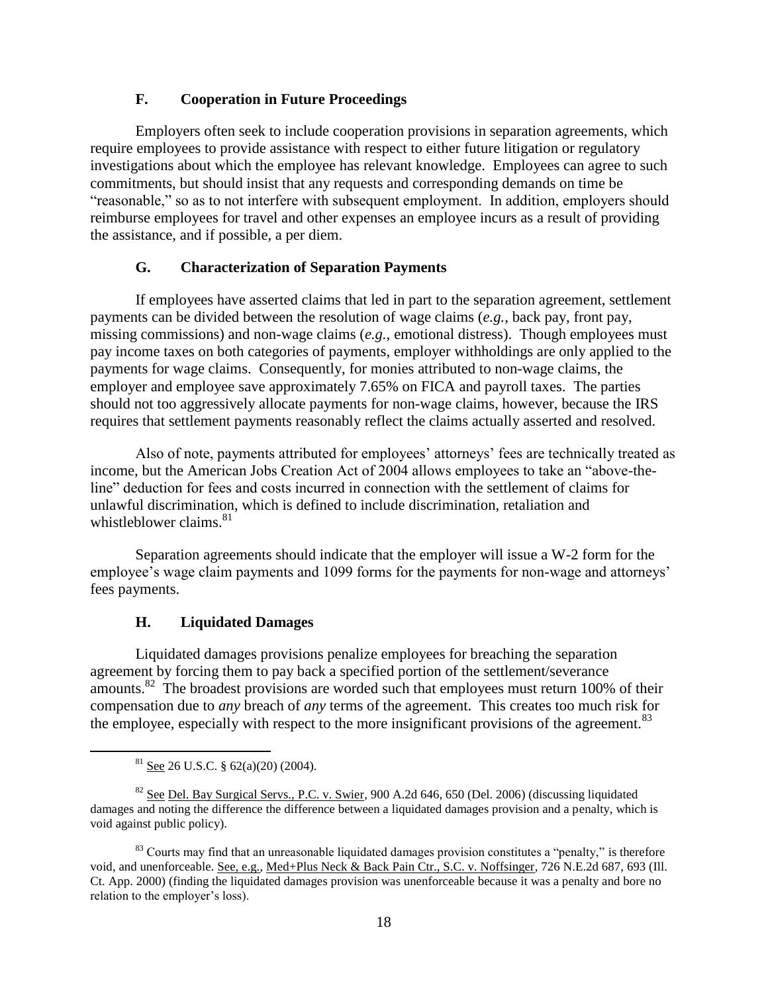### **F. Cooperation in Future Proceedings**

Employers often seek to include cooperation provisions in separation agreements, which require employees to provide assistance with respect to either future litigation or regulatory investigations about which the employee has relevant knowledge. Employees can agree to such commitments, but should insist that any requests and corresponding demands on time be "reasonable," so as to not interfere with subsequent employment. In addition, employers should reimburse employees for travel and other expenses an employee incurs as a result of providing the assistance, and if possible, a per diem.

### **G. Characterization of Separation Payments**

If employees have asserted claims that led in part to the separation agreement, settlement payments can be divided between the resolution of wage claims (*e.g.*, back pay, front pay, missing commissions) and non-wage claims (*e.g.*, emotional distress). Though employees must pay income taxes on both categories of payments, employer withholdings are only applied to the payments for wage claims. Consequently, for monies attributed to non-wage claims, the employer and employee save approximately 7.65% on FICA and payroll taxes. The parties should not too aggressively allocate payments for non-wage claims, however, because the IRS requires that settlement payments reasonably reflect the claims actually asserted and resolved.

Also of note, payments attributed for employees' attorneys' fees are technically treated as income, but the American Jobs Creation Act of 2004 allows employees to take an "above-theline" deduction for fees and costs incurred in connection with the settlement of claims for unlawful discrimination, which is defined to include discrimination, retaliation and whistleblower claims. $81$ 

Separation agreements should indicate that the employer will issue a W-2 form for the employee's wage claim payments and 1099 forms for the payments for non-wage and attorneys' fees payments.

#### **H. Liquidated Damages**

Liquidated damages provisions penalize employees for breaching the separation agreement by forcing them to pay back a specified portion of the settlement/severance amounts.<sup>82</sup> The broadest provisions are worded such that employees must return 100% of their compensation due to *any* breach of *any* terms of the agreement. This creates too much risk for the employee, especially with respect to the more insignificant provisions of the agreement.<sup>83</sup>

 $81$  See 26 U.S.C. § 62(a)(20) (2004).

<sup>&</sup>lt;sup>82</sup> See Del. Bay Surgical Servs., P.C. v. Swier, 900 A.2d 646, 650 (Del. 2006) (discussing liquidated damages and noting the difference the difference between a liquidated damages provision and a penalty, which is void against public policy).

<sup>&</sup>lt;sup>83</sup> Courts may find that an unreasonable liquidated damages provision constitutes a "penalty," is therefore void, and unenforceable. See, e.g., Med+Plus Neck & Back Pain Ctr., S.C. v. Noffsinger, 726 N.E.2d 687, 693 (Ill. Ct. App. 2000) (finding the liquidated damages provision was unenforceable because it was a penalty and bore no relation to the employer's loss).